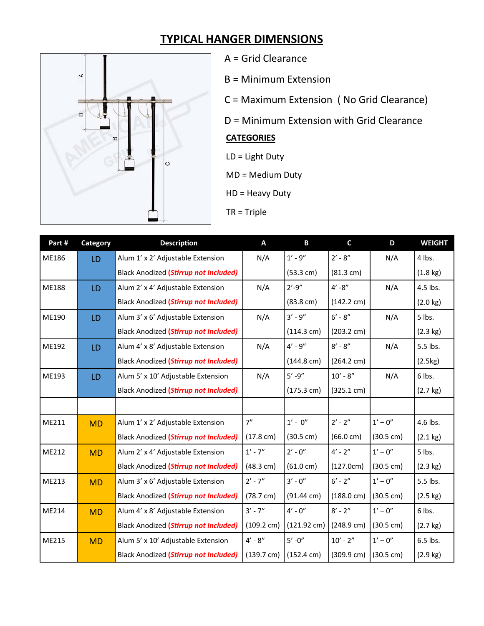## **TYPICAL HANGER DIMENSIONS**



- A = Grid Clearance
- B = Minimum Extension
- C = Maximum Extension ( No Grid Clearance)
- D = Minimum Extension with Grid Clearance

## **CATEGORIES**

- LD = Light Duty
- MD = Medium Duty
- HD = Heavy Duty
- TR = Triple

| Part# | Category  | <b>Description</b>                           | A                    | B                     | $\mathsf{C}$         | D                   | <b>WEIGHT</b>      |
|-------|-----------|----------------------------------------------|----------------------|-----------------------|----------------------|---------------------|--------------------|
| ME186 | LD        | Alum 1' x 2' Adjustable Extension            | N/A                  | $1' - 9''$            | $2' - 8''$           | N/A                 | 4 lbs.             |
|       |           | Black Anodized (Stirrup not Included)        |                      | $(53.3 \text{ cm})$   | $(81.3 \text{ cm})$  |                     | $(1.8 \text{ kg})$ |
| ME188 | LD        | Alum 2' x 4' Adjustable Extension            | N/A                  | $2' - 9''$            | $4' - 8''$           | N/A                 | 4.5 lbs.           |
|       |           | <b>Black Anodized (Stirrup not Included)</b> |                      | $(83.8 \text{ cm})$   | $(142.2 \text{ cm})$ |                     | $(2.0 \text{ kg})$ |
| ME190 | LD        | Alum 3' x 6' Adjustable Extension            | N/A                  | $3' - 9''$            | $6' - 8''$           | N/A                 | 5 lbs.             |
|       |           | Black Anodized (Stirrup not Included)        |                      | (114.3 cm)            | $(203.2 \text{ cm})$ |                     | $(2.3 \text{ kg})$ |
| ME192 | LD        | Alum 4' x 8' Adjustable Extension            | N/A                  | $4' - 9''$            | $8' - 8''$           | N/A                 | 5.5 lbs.           |
|       |           | Black Anodized (Stirrup not Included)        |                      | $(144.8 \text{ cm})$  | $(264.2 \text{ cm})$ |                     | (2.5kg)            |
| ME193 | LD        | Alum 5' x 10' Adjustable Extension           | N/A                  | $5' - 9''$            | $10' - 8''$          | N/A                 | 6 lbs.             |
|       |           | <b>Black Anodized (Stirrup not Included)</b> |                      | $(175.3 \text{ cm})$  | (325.1 cm)           |                     | $(2.7 \text{ kg})$ |
|       |           |                                              |                      |                       |                      |                     |                    |
| ME211 | <b>MD</b> | Alum 1' x 2' Adjustable Extension            | 7"                   | $1' - 0''$            | $2' - 2''$           | $1' - 0''$          | 4.6 lbs.           |
|       |           | <b>Black Anodized (Stirrup not Included)</b> | $(17.8 \text{ cm})$  | $(30.5 \text{ cm})$   | $(66.0 \text{ cm})$  | $(30.5 \text{ cm})$ | $(2.1 \text{ kg})$ |
| ME212 | <b>MD</b> | Alum 2' x 4' Adjustable Extension            | $1' - 7''$           | $2' - 0''$            | $4' - 2''$           | $1' - 0''$          | 5 lbs.             |
|       |           | Black Anodized (Stirrup not Included)        | (48.3 cm)            | $(61.0 \text{ cm})$   | (127.0cm)            | $(30.5 \text{ cm})$ | $(2.3 \text{ kg})$ |
| ME213 | <b>MD</b> | Alum 3' x 6' Adjustable Extension            | $2' - 7''$           | $3' - 0''$            | $6' - 2''$           | $1' - 0''$          | 5.5 lbs.           |
|       |           | Black Anodized (Stirrup not Included)        | $(78.7 \text{ cm})$  | $(91.44 \text{ cm})$  | $(188.0 \text{ cm})$ | $(30.5 \text{ cm})$ | $(2.5 \text{ kg})$ |
| ME214 | <b>MD</b> | Alum 4' x 8' Adjustable Extension            | $3' - 7''$           | $4' - 0''$            | $8' - 2''$           | $1' - 0''$          | 6 lbs.             |
|       |           | Black Anodized (Stirrup not Included)        | $(109.2 \text{ cm})$ | $(121.92 \text{ cm})$ | $(248.9 \text{ cm})$ | $(30.5 \text{ cm})$ | $(2.7 \text{ kg})$ |
| ME215 | <b>MD</b> | Alum 5' x 10' Adjustable Extension           | $4' - 8''$           | $5' - 0''$            | $10' - 2''$          | $1' - 0''$          | 6.5 lbs.           |
|       |           | Black Anodized (Stirrup not Included)        | $(139.7 \text{ cm})$ | $(152.4 \text{ cm})$  | (309.9 cm)           | $(30.5 \text{ cm})$ | $(2.9 \text{ kg})$ |